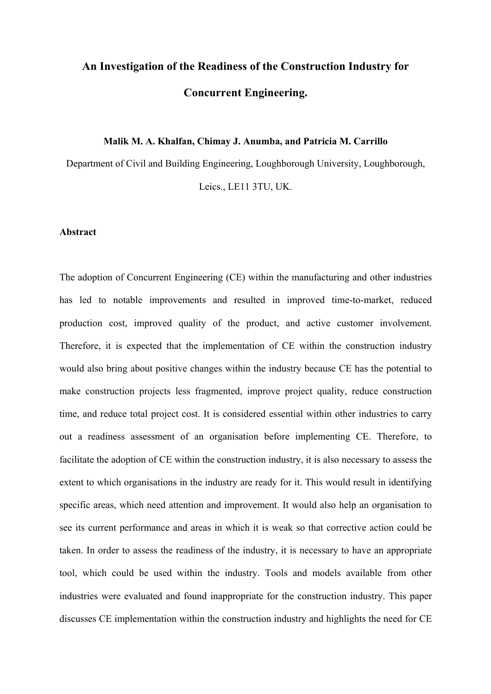# **An Investigation of the Readiness of the Construction Industry for Concurrent Engineering.**

#### **Malik M. A. Khalfan, Chimay J. Anumba, and Patricia M. Carrillo**

Department of Civil and Building Engineering, Loughborough University, Loughborough, Leics., LE11 3TU, UK.

#### **Abstract**

The adoption of Concurrent Engineering (CE) within the manufacturing and other industries has led to notable improvements and resulted in improved time-to-market, reduced production cost, improved quality of the product, and active customer involvement. Therefore, it is expected that the implementation of CE within the construction industry would also bring about positive changes within the industry because CE has the potential to make construction projects less fragmented, improve project quality, reduce construction time, and reduce total project cost. It is considered essential within other industries to carry out a readiness assessment of an organisation before implementing CE. Therefore, to facilitate the adoption of CE within the construction industry, it is also necessary to assess the extent to which organisations in the industry are ready for it. This would result in identifying specific areas, which need attention and improvement. It would also help an organisation to see its current performance and areas in which it is weak so that corrective action could be taken. In order to assess the readiness of the industry, it is necessary to have an appropriate tool, which could be used within the industry. Tools and models available from other industries were evaluated and found inappropriate for the construction industry. This paper discusses CE implementation within the construction industry and highlights the need for CE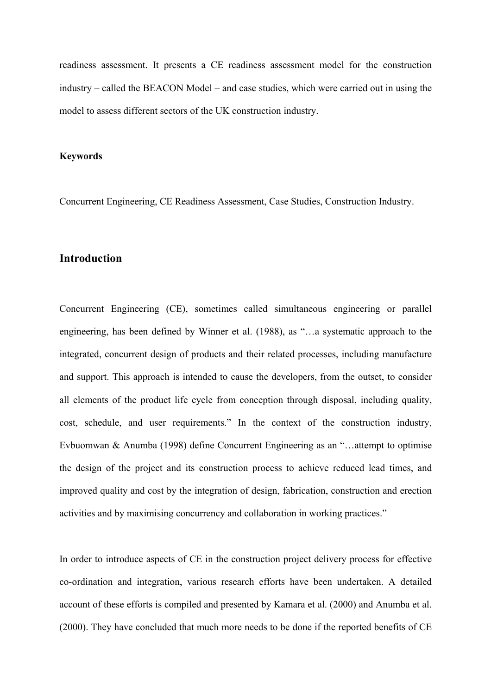readiness assessment. It presents a CE readiness assessment model for the construction industry – called the BEACON Model – and case studies, which were carried out in using the model to assess different sectors of the UK construction industry.

#### **Keywords**

Concurrent Engineering, CE Readiness Assessment, Case Studies, Construction Industry.

## **Introduction**

Concurrent Engineering (CE), sometimes called simultaneous engineering or parallel engineering, has been defined by Winner et al. (1988), as "…a systematic approach to the integrated, concurrent design of products and their related processes, including manufacture and support. This approach is intended to cause the developers, from the outset, to consider all elements of the product life cycle from conception through disposal, including quality, cost, schedule, and user requirements." In the context of the construction industry, Evbuomwan & Anumba (1998) define Concurrent Engineering as an "…attempt to optimise the design of the project and its construction process to achieve reduced lead times, and improved quality and cost by the integration of design, fabrication, construction and erection activities and by maximising concurrency and collaboration in working practices."

In order to introduce aspects of CE in the construction project delivery process for effective co-ordination and integration, various research efforts have been undertaken. A detailed account of these efforts is compiled and presented by Kamara et al. (2000) and Anumba et al. (2000). They have concluded that much more needs to be done if the reported benefits of CE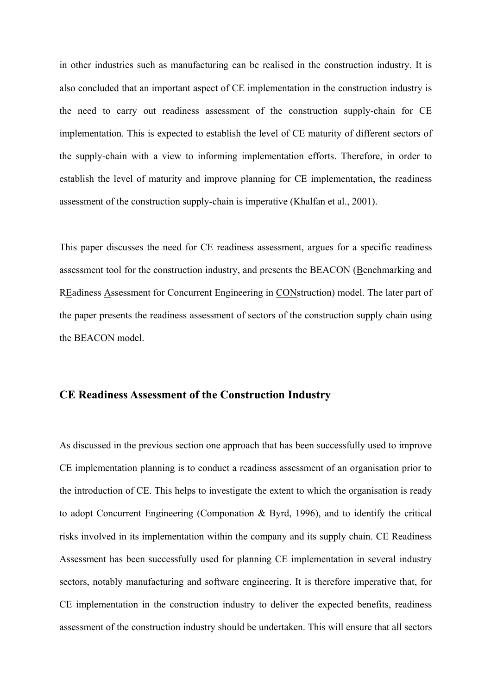in other industries such as manufacturing can be realised in the construction industry. It is also concluded that an important aspect of CE implementation in the construction industry is the need to carry out readiness assessment of the construction supply-chain for CE implementation. This is expected to establish the level of CE maturity of different sectors of the supply-chain with a view to informing implementation efforts. Therefore, in order to establish the level of maturity and improve planning for CE implementation, the readiness assessment of the construction supply-chain is imperative (Khalfan et al., 2001).

This paper discusses the need for CE readiness assessment, argues for a specific readiness assessment tool for the construction industry, and presents the BEACON (Benchmarking and REadiness Assessment for Concurrent Engineering in CONstruction) model. The later part of the paper presents the readiness assessment of sectors of the construction supply chain using the BEACON model.

## **CE Readiness Assessment of the Construction Industry**

As discussed in the previous section one approach that has been successfully used to improve CE implementation planning is to conduct a readiness assessment of an organisation prior to the introduction of CE. This helps to investigate the extent to which the organisation is ready to adopt Concurrent Engineering (Componation & Byrd, 1996), and to identify the critical risks involved in its implementation within the company and its supply chain. CE Readiness Assessment has been successfully used for planning CE implementation in several industry sectors, notably manufacturing and software engineering. It is therefore imperative that, for CE implementation in the construction industry to deliver the expected benefits, readiness assessment of the construction industry should be undertaken. This will ensure that all sectors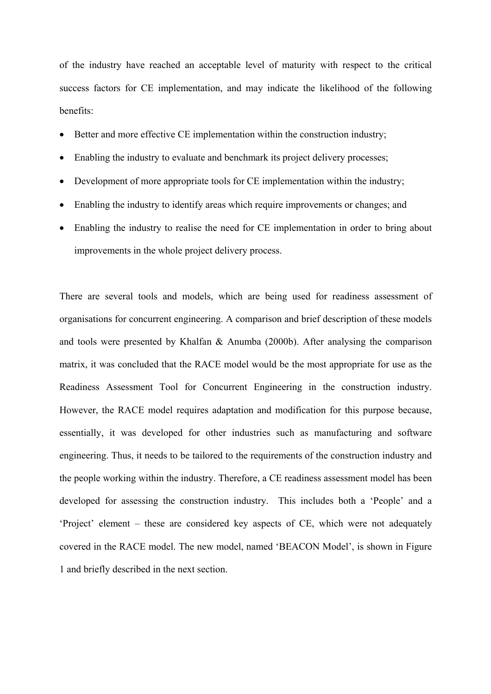of the industry have reached an acceptable level of maturity with respect to the critical success factors for CE implementation, and may indicate the likelihood of the following benefits:

- Better and more effective CE implementation within the construction industry;
- Enabling the industry to evaluate and benchmark its project delivery processes;
- Development of more appropriate tools for CE implementation within the industry;
- Enabling the industry to identify areas which require improvements or changes; and
- Enabling the industry to realise the need for CE implementation in order to bring about improvements in the whole project delivery process.

There are several tools and models, which are being used for readiness assessment of organisations for concurrent engineering. A comparison and brief description of these models and tools were presented by Khalfan & Anumba (2000b). After analysing the comparison matrix, it was concluded that the RACE model would be the most appropriate for use as the Readiness Assessment Tool for Concurrent Engineering in the construction industry. However, the RACE model requires adaptation and modification for this purpose because, essentially, it was developed for other industries such as manufacturing and software engineering. Thus, it needs to be tailored to the requirements of the construction industry and the people working within the industry. Therefore, a CE readiness assessment model has been developed for assessing the construction industry. This includes both a 'People' and a 'Project' element – these are considered key aspects of CE, which were not adequately covered in the RACE model. The new model, named 'BEACON Model', is shown in Figure 1 and briefly described in the next section.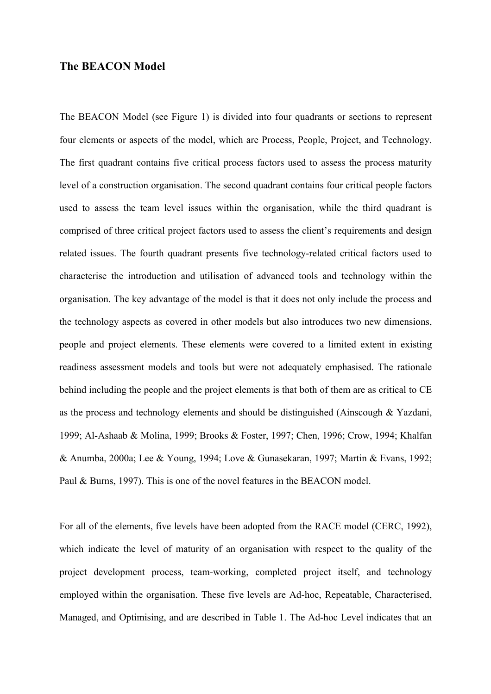#### **The BEACON Model**

The BEACON Model (see Figure 1) is divided into four quadrants or sections to represent four elements or aspects of the model, which are Process, People, Project, and Technology. The first quadrant contains five critical process factors used to assess the process maturity level of a construction organisation. The second quadrant contains four critical people factors used to assess the team level issues within the organisation, while the third quadrant is comprised of three critical project factors used to assess the client's requirements and design related issues. The fourth quadrant presents five technology-related critical factors used to characterise the introduction and utilisation of advanced tools and technology within the organisation. The key advantage of the model is that it does not only include the process and the technology aspects as covered in other models but also introduces two new dimensions, people and project elements. These elements were covered to a limited extent in existing readiness assessment models and tools but were not adequately emphasised. The rationale behind including the people and the project elements is that both of them are as critical to CE as the process and technology elements and should be distinguished (Ainscough & Yazdani, 1999; Al-Ashaab & Molina, 1999; Brooks & Foster, 1997; Chen, 1996; Crow, 1994; Khalfan & Anumba, 2000a; Lee & Young, 1994; Love & Gunasekaran, 1997; Martin & Evans, 1992; Paul & Burns, 1997). This is one of the novel features in the BEACON model.

For all of the elements, five levels have been adopted from the RACE model (CERC, 1992), which indicate the level of maturity of an organisation with respect to the quality of the project development process, team-working, completed project itself, and technology employed within the organisation. These five levels are Ad-hoc, Repeatable, Characterised, Managed, and Optimising, and are described in Table 1. The Ad-hoc Level indicates that an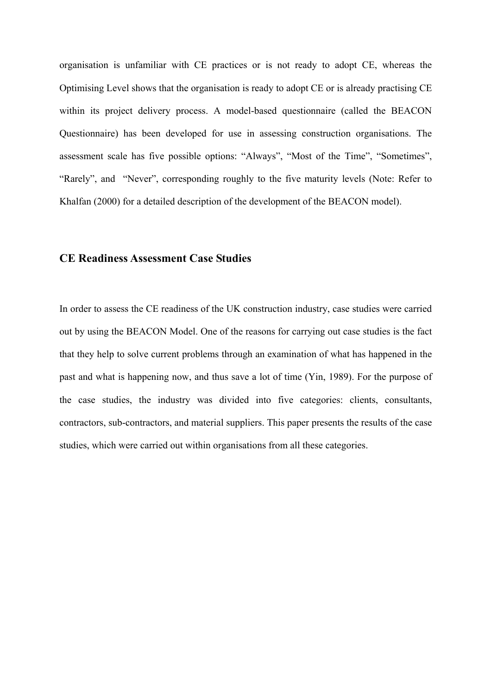organisation is unfamiliar with CE practices or is not ready to adopt CE, whereas the Optimising Level shows that the organisation is ready to adopt CE or is already practising CE within its project delivery process. A model-based questionnaire (called the BEACON Questionnaire) has been developed for use in assessing construction organisations. The assessment scale has five possible options: "Always", "Most of the Time", "Sometimes", "Rarely", and "Never", corresponding roughly to the five maturity levels (Note: Refer to Khalfan (2000) for a detailed description of the development of the BEACON model).

# **CE Readiness Assessment Case Studies**

In order to assess the CE readiness of the UK construction industry, case studies were carried out by using the BEACON Model. One of the reasons for carrying out case studies is the fact that they help to solve current problems through an examination of what has happened in the past and what is happening now, and thus save a lot of time (Yin, 1989). For the purpose of the case studies, the industry was divided into five categories: clients, consultants, contractors, sub-contractors, and material suppliers. This paper presents the results of the case studies, which were carried out within organisations from all these categories.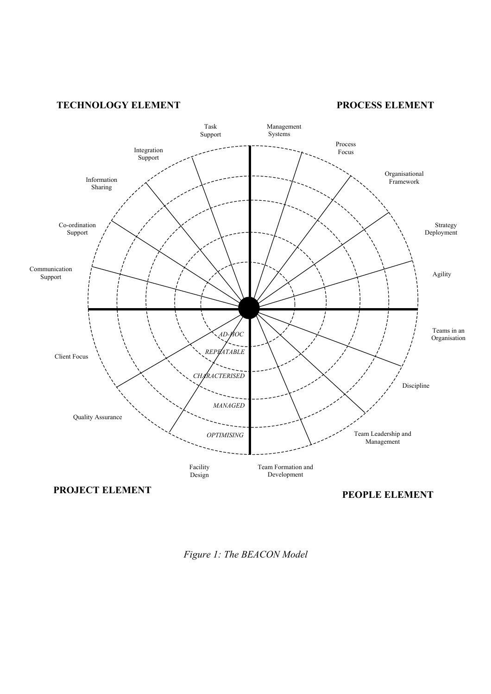## **TECHNOLOGY ELEMENT PROCESS ELEMENT**



*Figure 1: The BEACON Model*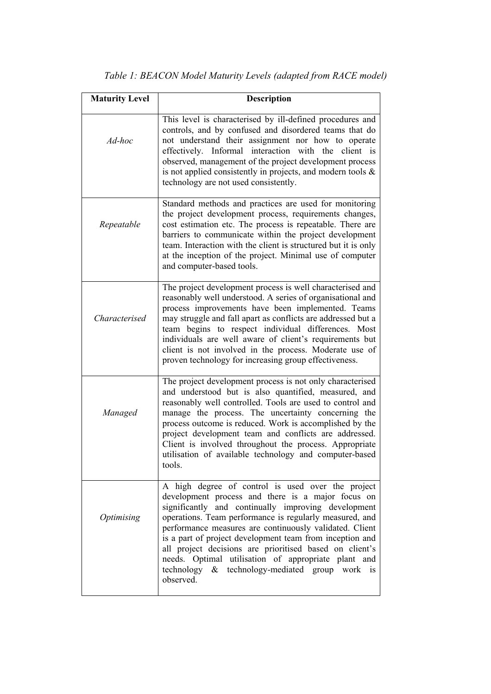| <b>Maturity Level</b> | <b>Description</b>                                                                                                                                                                                                                                                                                                                                                                                                                                                                                                               |  |  |  |  |
|-----------------------|----------------------------------------------------------------------------------------------------------------------------------------------------------------------------------------------------------------------------------------------------------------------------------------------------------------------------------------------------------------------------------------------------------------------------------------------------------------------------------------------------------------------------------|--|--|--|--|
| Ad-hoc                | This level is characterised by ill-defined procedures and<br>controls, and by confused and disordered teams that do<br>not understand their assignment nor how to operate<br>effectively. Informal interaction with the client is<br>observed, management of the project development process<br>is not applied consistently in projects, and modern tools $\&$<br>technology are not used consistently.                                                                                                                          |  |  |  |  |
| Repeatable            | Standard methods and practices are used for monitoring<br>the project development process, requirements changes,<br>cost estimation etc. The process is repeatable. There are<br>barriers to communicate within the project development<br>team. Interaction with the client is structured but it is only<br>at the inception of the project. Minimal use of computer<br>and computer-based tools.                                                                                                                               |  |  |  |  |
| Characterised         | The project development process is well characterised and<br>reasonably well understood. A series of organisational and<br>process improvements have been implemented. Teams<br>may struggle and fall apart as conflicts are addressed but a<br>team begins to respect individual differences. Most<br>individuals are well aware of client's requirements but<br>client is not involved in the process. Moderate use of<br>proven technology for increasing group effectiveness.                                                |  |  |  |  |
| Managed               | The project development process is not only characterised<br>and understood but is also quantified, measured, and<br>reasonably well controlled. Tools are used to control and<br>manage the process. The uncertainty concerning the<br>process outcome is reduced. Work is accomplished by the<br>project development team and conflicts are addressed.<br>Client is involved throughout the process. Appropriate<br>utilisation of available technology and computer-based<br>tools.                                           |  |  |  |  |
| Optimising            | A high degree of control is used over the project<br>development process and there is a major focus on<br>significantly and continually improving development<br>operations. Team performance is regularly measured, and<br>performance measures are continuously validated. Client<br>is a part of project development team from inception and<br>all project decisions are prioritised based on client's<br>needs. Optimal utilisation of appropriate plant and<br>technology & technology-mediated group work is<br>observed. |  |  |  |  |

*Table 1: BEACON Model Maturity Levels (adapted from RACE model)*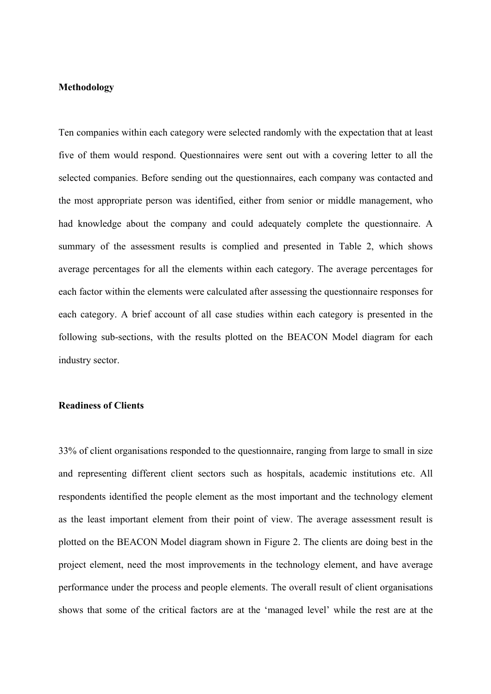#### **Methodology**

Ten companies within each category were selected randomly with the expectation that at least five of them would respond. Questionnaires were sent out with a covering letter to all the selected companies. Before sending out the questionnaires, each company was contacted and the most appropriate person was identified, either from senior or middle management, who had knowledge about the company and could adequately complete the questionnaire. A summary of the assessment results is complied and presented in Table 2, which shows average percentages for all the elements within each category. The average percentages for each factor within the elements were calculated after assessing the questionnaire responses for each category. A brief account of all case studies within each category is presented in the following sub-sections, with the results plotted on the BEACON Model diagram for each industry sector.

### **Readiness of Clients**

33% of client organisations responded to the questionnaire, ranging from large to small in size and representing different client sectors such as hospitals, academic institutions etc. All respondents identified the people element as the most important and the technology element as the least important element from their point of view. The average assessment result is plotted on the BEACON Model diagram shown in Figure 2. The clients are doing best in the project element, need the most improvements in the technology element, and have average performance under the process and people elements. The overall result of client organisations shows that some of the critical factors are at the 'managed level' while the rest are at the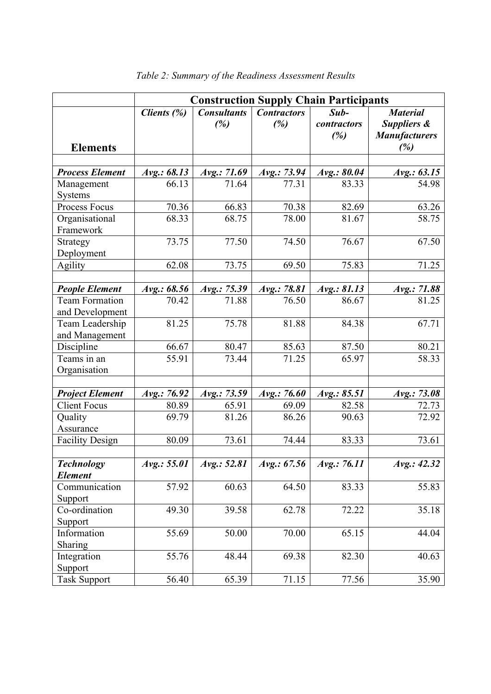|                                                | <b>Construction Supply Chain Participants</b> |                           |                           |                              |                                                               |  |  |
|------------------------------------------------|-----------------------------------------------|---------------------------|---------------------------|------------------------------|---------------------------------------------------------------|--|--|
| <b>Elements</b>                                | Clients $(\%)$                                | <b>Consultants</b><br>(%) | <b>Contractors</b><br>(%) | $Sub-$<br>contractors<br>(%) | <b>Material</b><br>Suppliers &<br><b>Manufacturers</b><br>(%) |  |  |
|                                                |                                               |                           |                           |                              |                                                               |  |  |
| <b>Process Element</b>                         | Avg.: 68.13                                   | Avg.: 71.69               | Avg.: 73.94               | Avg.: 80.04                  | Avg.: 63.15                                                   |  |  |
| Management<br>Systems                          | 66.13                                         | 71.64                     | 77.31                     | 83.33                        | 54.98                                                         |  |  |
| Process Focus                                  | 70.36                                         | 66.83                     | 70.38                     | 82.69                        | 63.26                                                         |  |  |
| Organisational<br>Framework                    | 68.33                                         | 68.75                     | 78.00                     | 81.67                        | 58.75                                                         |  |  |
| Strategy<br>Deployment                         | 73.75                                         | 77.50                     | 74.50                     | 76.67                        | 67.50                                                         |  |  |
| <b>Agility</b>                                 | 62.08                                         | 73.75                     | 69.50                     | 75.83                        | 71.25                                                         |  |  |
|                                                |                                               |                           |                           |                              |                                                               |  |  |
| <b>People Element</b><br><b>Team Formation</b> | Avg.: 68.56<br>70.42                          | Avg.: 75.39<br>71.88      | Avg.: 78.81<br>76.50      | Avg.: 81.13<br>86.67         | Avg.: 71.88<br>81.25                                          |  |  |
| and Development                                |                                               |                           |                           |                              |                                                               |  |  |
| Team Leadership<br>and Management              | 81.25                                         | 75.78                     | 81.88                     | 84.38                        | 67.71                                                         |  |  |
| Discipline                                     | 66.67                                         | 80.47                     | 85.63                     | 87.50                        | 80.21                                                         |  |  |
| Teams in an<br>Organisation                    | 55.91                                         | 73.44                     | 71.25                     | 65.97                        | 58.33                                                         |  |  |
|                                                |                                               |                           |                           |                              |                                                               |  |  |
| <b>Project Element</b>                         | Avg.: 76.92                                   | Avg.: 73.59               | Avg.: 76.60               | Avg.: 85.51                  | Avg.: 73.08                                                   |  |  |
| <b>Client Focus</b>                            | 80.89                                         | 65.91                     | 69.09                     | $\overline{82.58}$           | 72.73                                                         |  |  |
| Quality<br>Assurance                           | 69.79                                         | 81.26                     | 86.26                     | 90.63                        | 72.92                                                         |  |  |
| <b>Facility Design</b>                         | 80.09                                         | 73.61                     | 74.44                     | 83.33                        | 73.61                                                         |  |  |
|                                                |                                               |                           |                           |                              |                                                               |  |  |
| <b>Technology</b><br><b>Element</b>            | Avg.: 55.01                                   | Avg.: 52.81               | Avg.: 67.56               | Avg.: 76.11                  | Avg.: 42.32                                                   |  |  |
| Communication                                  | 57.92                                         | 60.63                     | 64.50                     | 83.33                        | 55.83                                                         |  |  |
| Support                                        |                                               |                           |                           |                              |                                                               |  |  |
| Co-ordination                                  | 49.30                                         | 39.58                     | 62.78                     | 72.22                        | 35.18                                                         |  |  |
| Support<br>Information                         | 55.69                                         | 50.00                     | 70.00                     | 65.15                        | 44.04                                                         |  |  |
| <b>Sharing</b>                                 |                                               |                           |                           |                              |                                                               |  |  |
| Integration                                    | 55.76                                         | 48.44                     | 69.38                     | 82.30                        | 40.63                                                         |  |  |
| Support                                        |                                               |                           |                           |                              |                                                               |  |  |
| <b>Task Support</b>                            | 56.40                                         | 65.39                     | 71.15                     | 77.56                        | 35.90                                                         |  |  |

*Table 2: Summary of the Readiness Assessment Results*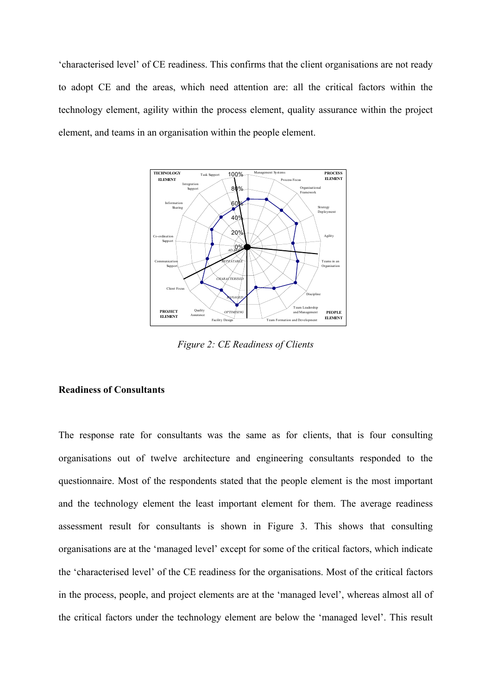'characterised level' of CE readiness. This confirms that the client organisations are not ready to adopt CE and the areas, which need attention are: all the critical factors within the technology element, agility within the process element, quality assurance within the project element, and teams in an organisation within the people element.



*Figure 2: CE Readiness of Clients*

#### **Readiness of Consultants**

The response rate for consultants was the same as for clients, that is four consulting organisations out of twelve architecture and engineering consultants responded to the questionnaire. Most of the respondents stated that the people element is the most important and the technology element the least important element for them. The average readiness assessment result for consultants is shown in Figure 3. This shows that consulting organisations are at the 'managed level' except for some of the critical factors, which indicate the 'characterised level' of the CE readiness for the organisations. Most of the critical factors in the process, people, and project elements are at the 'managed level', whereas almost all of the critical factors under the technology element are below the 'managed level'. This result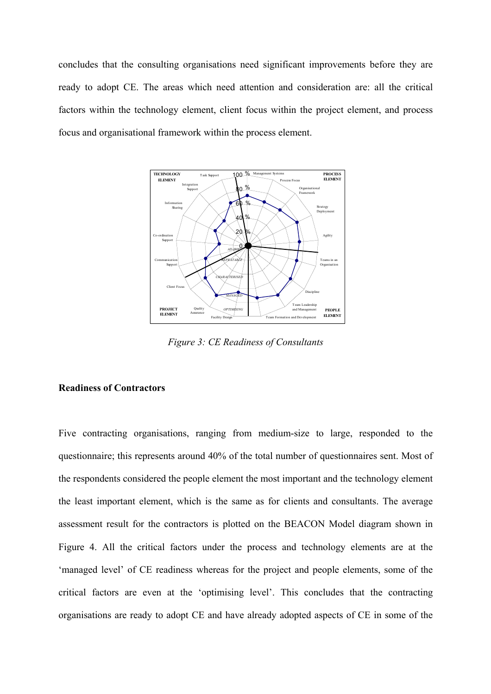concludes that the consulting organisations need significant improvements before they are ready to adopt CE. The areas which need attention and consideration are: all the critical factors within the technology element, client focus within the project element, and process focus and organisational framework within the process element.



*Figure 3: CE Readiness of Consultants*

#### **Readiness of Contractors**

Five contracting organisations, ranging from medium-size to large, responded to the questionnaire; this represents around 40% of the total number of questionnaires sent. Most of the respondents considered the people element the most important and the technology element the least important element, which is the same as for clients and consultants. The average assessment result for the contractors is plotted on the BEACON Model diagram shown in Figure 4. All the critical factors under the process and technology elements are at the 'managed level' of CE readiness whereas for the project and people elements, some of the critical factors are even at the 'optimising level'. This concludes that the contracting organisations are ready to adopt CE and have already adopted aspects of CE in some of the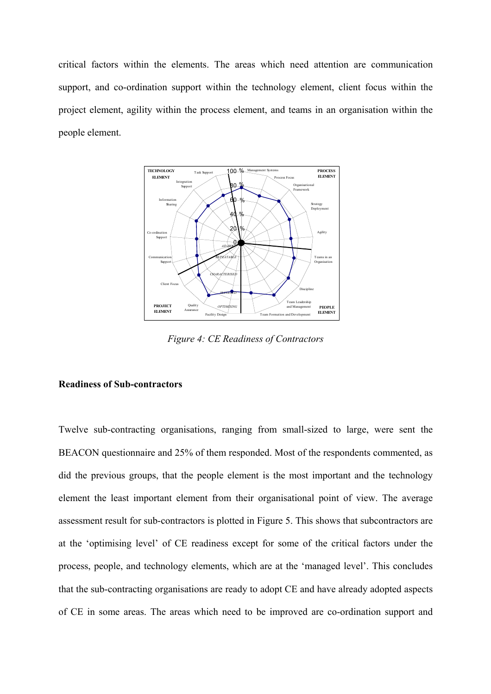critical factors within the elements. The areas which need attention are communication support, and co-ordination support within the technology element, client focus within the project element, agility within the process element, and teams in an organisation within the people element.



*Figure 4: CE Readiness of Contractors* 

#### **Readiness of Sub-contractors**

Twelve sub-contracting organisations, ranging from small-sized to large, were sent the BEACON questionnaire and 25% of them responded. Most of the respondents commented, as did the previous groups, that the people element is the most important and the technology element the least important element from their organisational point of view. The average assessment result for sub-contractors is plotted in Figure 5. This shows that subcontractors are at the 'optimising level' of CE readiness except for some of the critical factors under the process, people, and technology elements, which are at the 'managed level'. This concludes that the sub-contracting organisations are ready to adopt CE and have already adopted aspects of CE in some areas. The areas which need to be improved are co-ordination support and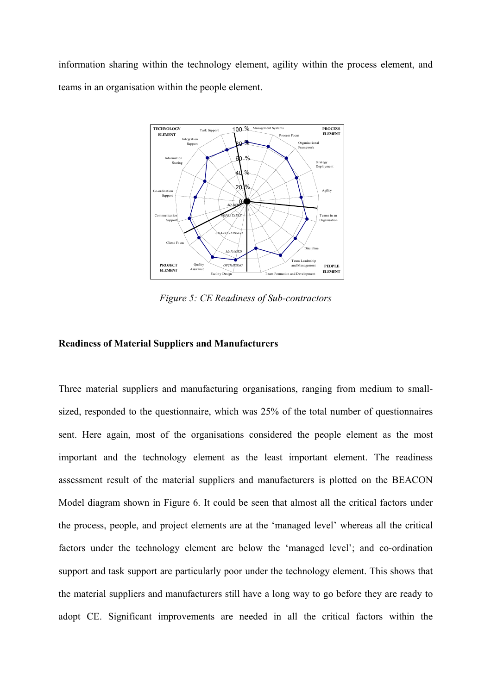information sharing within the technology element, agility within the process element, and teams in an organisation within the people element.



*Figure 5: CE Readiness of Sub-contractors* 

## **Readiness of Material Suppliers and Manufacturers**

Three material suppliers and manufacturing organisations, ranging from medium to smallsized, responded to the questionnaire, which was 25% of the total number of questionnaires sent. Here again, most of the organisations considered the people element as the most important and the technology element as the least important element. The readiness assessment result of the material suppliers and manufacturers is plotted on the BEACON Model diagram shown in Figure 6. It could be seen that almost all the critical factors under the process, people, and project elements are at the 'managed level' whereas all the critical factors under the technology element are below the 'managed level'; and co-ordination support and task support are particularly poor under the technology element. This shows that the material suppliers and manufacturers still have a long way to go before they are ready to adopt CE. Significant improvements are needed in all the critical factors within the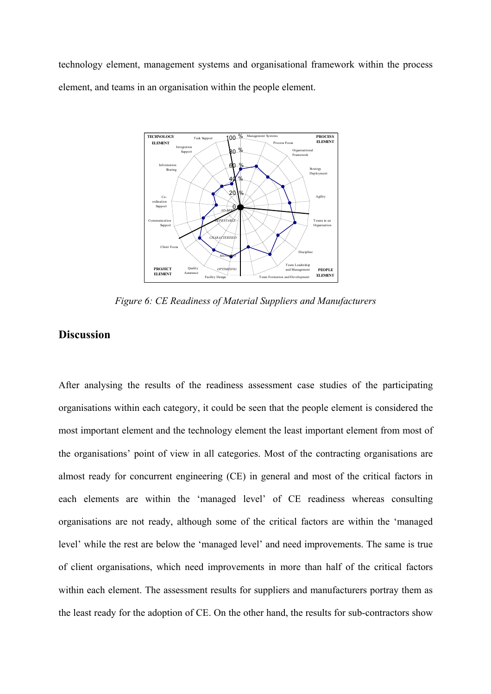technology element, management systems and organisational framework within the process element, and teams in an organisation within the people element.



*Figure 6: CE Readiness of Material Suppliers and Manufacturers*

# **Discussion**

After analysing the results of the readiness assessment case studies of the participating organisations within each category, it could be seen that the people element is considered the most important element and the technology element the least important element from most of the organisations' point of view in all categories. Most of the contracting organisations are almost ready for concurrent engineering (CE) in general and most of the critical factors in each elements are within the 'managed level' of CE readiness whereas consulting organisations are not ready, although some of the critical factors are within the 'managed level' while the rest are below the 'managed level' and need improvements. The same is true of client organisations, which need improvements in more than half of the critical factors within each element. The assessment results for suppliers and manufacturers portray them as the least ready for the adoption of CE. On the other hand, the results for sub-contractors show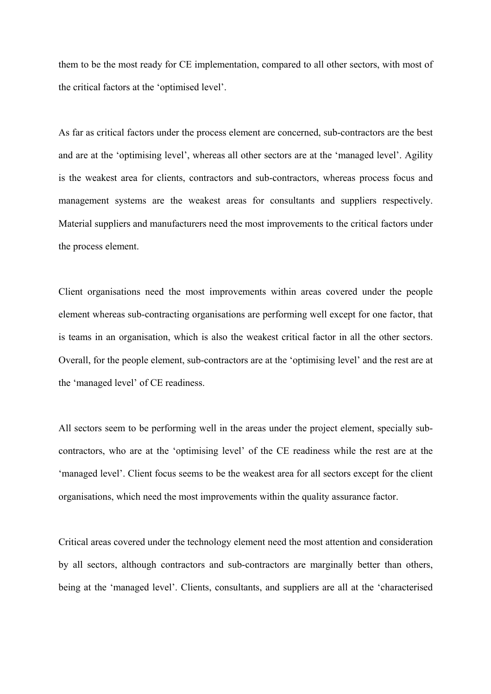them to be the most ready for CE implementation, compared to all other sectors, with most of the critical factors at the 'optimised level'.

As far as critical factors under the process element are concerned, sub-contractors are the best and are at the 'optimising level', whereas all other sectors are at the 'managed level'. Agility is the weakest area for clients, contractors and sub-contractors, whereas process focus and management systems are the weakest areas for consultants and suppliers respectively. Material suppliers and manufacturers need the most improvements to the critical factors under the process element.

Client organisations need the most improvements within areas covered under the people element whereas sub-contracting organisations are performing well except for one factor, that is teams in an organisation, which is also the weakest critical factor in all the other sectors. Overall, for the people element, sub-contractors are at the 'optimising level' and the rest are at the 'managed level' of CE readiness.

All sectors seem to be performing well in the areas under the project element, specially subcontractors, who are at the 'optimising level' of the CE readiness while the rest are at the 'managed level'. Client focus seems to be the weakest area for all sectors except for the client organisations, which need the most improvements within the quality assurance factor.

Critical areas covered under the technology element need the most attention and consideration by all sectors, although contractors and sub-contractors are marginally better than others, being at the 'managed level'. Clients, consultants, and suppliers are all at the 'characterised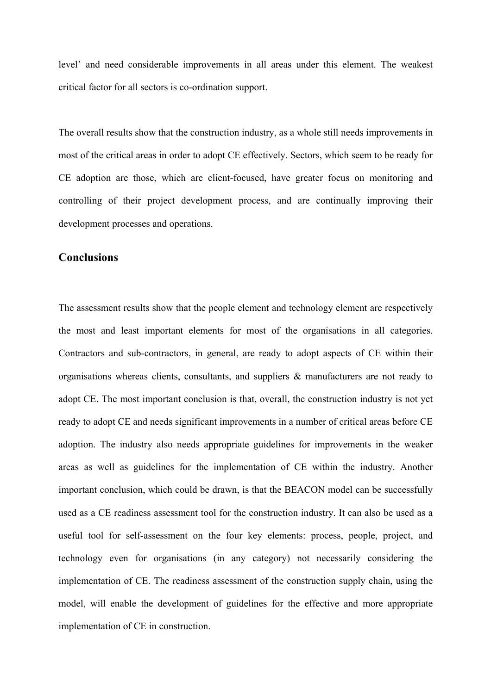level' and need considerable improvements in all areas under this element. The weakest critical factor for all sectors is co-ordination support.

The overall results show that the construction industry, as a whole still needs improvements in most of the critical areas in order to adopt CE effectively. Sectors, which seem to be ready for CE adoption are those, which are client-focused, have greater focus on monitoring and controlling of their project development process, and are continually improving their development processes and operations.

## **Conclusions**

The assessment results show that the people element and technology element are respectively the most and least important elements for most of the organisations in all categories. Contractors and sub-contractors, in general, are ready to adopt aspects of CE within their organisations whereas clients, consultants, and suppliers  $\&$  manufacturers are not ready to adopt CE. The most important conclusion is that, overall, the construction industry is not yet ready to adopt CE and needs significant improvements in a number of critical areas before CE adoption. The industry also needs appropriate guidelines for improvements in the weaker areas as well as guidelines for the implementation of CE within the industry. Another important conclusion, which could be drawn, is that the BEACON model can be successfully used as a CE readiness assessment tool for the construction industry. It can also be used as a useful tool for self-assessment on the four key elements: process, people, project, and technology even for organisations (in any category) not necessarily considering the implementation of CE. The readiness assessment of the construction supply chain, using the model, will enable the development of guidelines for the effective and more appropriate implementation of CE in construction.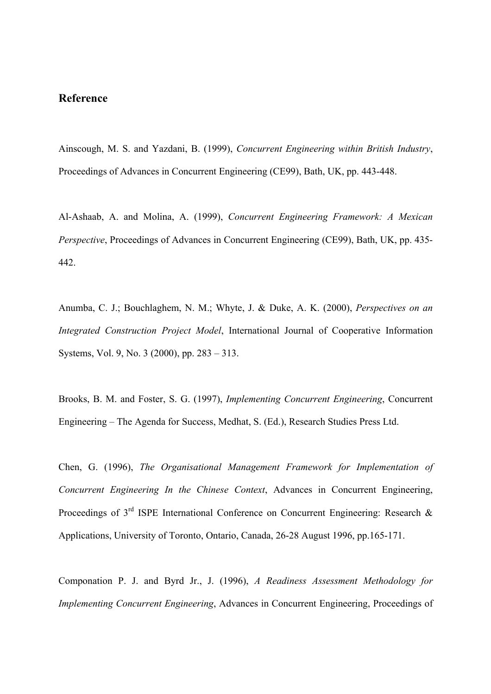# **Reference**

Ainscough, M. S. and Yazdani, B. (1999), *Concurrent Engineering within British Industry*, Proceedings of Advances in Concurrent Engineering (CE99), Bath, UK, pp. 443-448.

Al-Ashaab, A. and Molina, A. (1999), *Concurrent Engineering Framework: A Mexican Perspective*, Proceedings of Advances in Concurrent Engineering (CE99), Bath, UK, pp. 435- 442.

Anumba, C. J.; Bouchlaghem, N. M.; Whyte, J. & Duke, A. K. (2000), *Perspectives on an Integrated Construction Project Model*, International Journal of Cooperative Information Systems, Vol. 9, No. 3 (2000), pp. 283 – 313.

Brooks, B. M. and Foster, S. G. (1997), *Implementing Concurrent Engineering*, Concurrent Engineering – The Agenda for Success, Medhat, S. (Ed.), Research Studies Press Ltd.

Chen, G. (1996), *The Organisational Management Framework for Implementation of Concurrent Engineering In the Chinese Context*, Advances in Concurrent Engineering, Proceedings of 3<sup>rd</sup> ISPE International Conference on Concurrent Engineering: Research & Applications, University of Toronto, Ontario, Canada, 26-28 August 1996, pp.165-171.

Componation P. J. and Byrd Jr., J. (1996), *A Readiness Assessment Methodology for Implementing Concurrent Engineering*, Advances in Concurrent Engineering, Proceedings of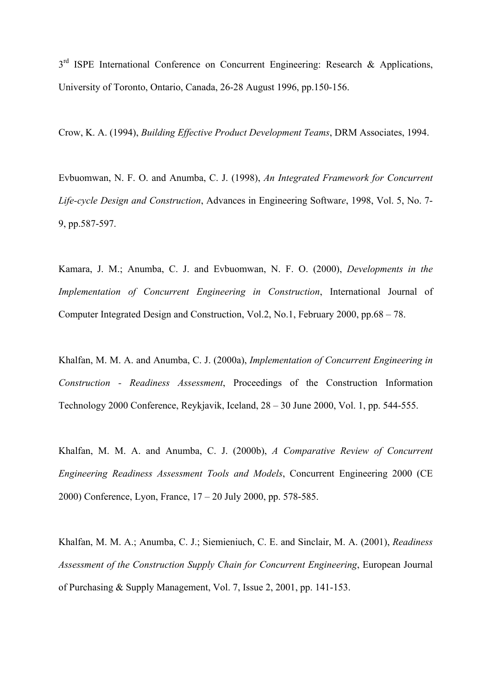3<sup>rd</sup> ISPE International Conference on Concurrent Engineering: Research & Applications, University of Toronto, Ontario, Canada, 26-28 August 1996, pp.150-156.

Crow, K. A. (1994), *Building Effective Product Development Teams*, DRM Associates, 1994.

Evbuomwan, N. F. O. and Anumba, C. J. (1998), *An Integrated Framework for Concurrent Life-cycle Design and Construction*, Advances in Engineering Softwar*e*, 1998, Vol. 5, No. 7- 9, pp.587-597.

Kamara, J. M.; Anumba, C. J. and Evbuomwan, N. F. O. (2000), *Developments in the Implementation of Concurrent Engineering in Construction*, International Journal of Computer Integrated Design and Construction, Vol.2, No.1, February 2000, pp.68 – 78.

Khalfan, M. M. A. and Anumba, C. J. (2000a), *Implementation of Concurrent Engineering in Construction - Readiness Assessment*, Proceedings of the Construction Information Technology 2000 Conference, Reykjavik, Iceland, 28 – 30 June 2000, Vol. 1, pp. 544-555.

Khalfan, M. M. A. and Anumba, C. J. (2000b), *A Comparative Review of Concurrent Engineering Readiness Assessment Tools and Models*, Concurrent Engineering 2000 (CE 2000) Conference, Lyon, France, 17 – 20 July 2000, pp. 578-585.

Khalfan, M. M. A.; Anumba, C. J.; Siemieniuch, C. E. and Sinclair, M. A. (2001), *Readiness Assessment of the Construction Supply Chain for Concurrent Engineering*, European Journal of Purchasing & Supply Management, Vol. 7, Issue 2, 2001, pp. 141-153.